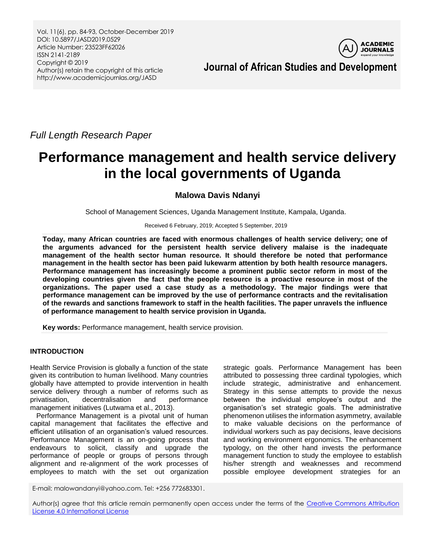Vol. 11(6), pp. 84-93, October-December 2019 DOI: 10.5897/JASD2019.0529 Article Number: 23523FF62026 ISSN 2141-2189 Copyright © 2019 Author(s) retain the copyright of this article http://www.academicjournlas.org/JASD



**Journal of African Studies and Development**

*Full Length Research Paper*

# **Performance management and health service delivery in the local governments of Uganda**

**Malowa Davis Ndanyi**

School of Management Sciences, Uganda Management Institute, Kampala, Uganda.

Received 6 February, 2019; Accepted 5 September, 2019

**Today, many African countries are faced with enormous challenges of health service delivery; one of the arguments advanced for the persistent health service delivery malaise is the inadequate management of the health sector human resource. It should therefore be noted that performance management in the health sector has been paid lukewarm attention by both health resource managers. Performance management has increasingly become a prominent public sector reform in most of the developing countries given the fact that the people resource is a proactive resource in most of the organizations. The paper used a case study as a methodology. The major findings were that performance management can be improved by the use of performance contracts and the revitalisation of the rewards and sanctions framework to staff in the health facilities. The paper unravels the influence of performance management to health service provision in Uganda.**

**Key words:** Performance management, health service provision.

# **INTRODUCTION**

Health Service Provision is globally a function of the state given its contribution to human livelihood. Many countries globally have attempted to provide intervention in health service delivery through a number of reforms such as privatisation, decentralisation and performance management initiatives (Lutwama et al., 2013).

Performance Management is a pivotal unit of human capital management that facilitates the effective and efficient utilisation of an organisation's valued resources. Performance Management is an on-going process that endeavours to solicit, classify and upgrade the performance of people or groups of persons through alignment and re-alignment of the work processes of employees to match with the set out organization

E-mail: malowandanyi@yahoo.com. Tel: +256 772683301.

strategic goals. Performance Management has been attributed to possessing three cardinal typologies, which include strategic, administrative and enhancement. Strategy in this sense attempts to provide the nexus between the individual employee's output and the organisation's set strategic goals. The administrative phenomenon utilises the information asymmetry, available to make valuable decisions on the performance of individual workers such as pay decisions, leave decisions and working environment ergonomics. The enhancement typology, on the other hand invests the performance management function to study the employee to establish his/her strength and weaknesses and recommend possible employee development strategies for an

Author(s) agree that this article remain permanently open access under the terms of the [Creative Commons Attribution](http://creativecommons.org/licenses/by/4.0/deed.en_US)  [License 4.0 International License](http://creativecommons.org/licenses/by/4.0/deed.en_US)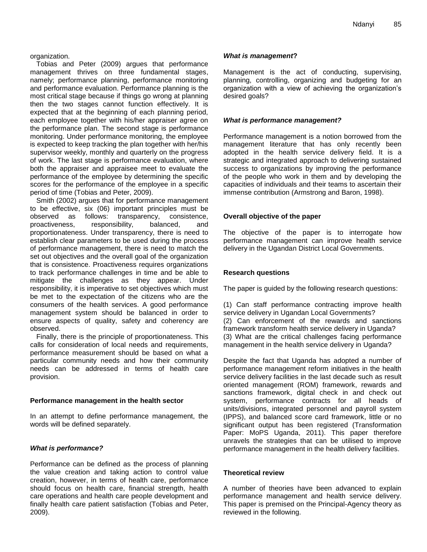organization.

Tobias and Peter (2009) argues that performance management thrives on three fundamental stages, namely; performance planning, performance monitoring and performance evaluation. Performance planning is the most critical stage because if things go wrong at planning then the two stages cannot function effectively. It is expected that at the beginning of each planning period, each employee together with his/her appraiser agree on the performance plan. The second stage is performance monitoring. Under performance monitoring, the employee is expected to keep tracking the plan together with her/his supervisor weekly, monthly and quarterly on the progress of work. The last stage is performance evaluation, where both the appraiser and appraisee meet to evaluate the performance of the employee by determining the specific scores for the performance of the employee in a specific period of time (Tobias and Peter, 2009).

Smith (2002) argues that for performance management to be effective, six (06) important principles must be observed as follows: transparency, consistence, proactiveness, responsibility, balanced, and proportionateness. Under transparency, there is need to establish clear parameters to be used during the process of performance management, there is need to match the set out objectives and the overall goal of the organization that is consistence. Proactiveness requires organizations to track performance challenges in time and be able to mitigate the challenges as they appear. Under responsibility, it is imperative to set objectives which must be met to the expectation of the citizens who are the consumers of the health services. A good performance management system should be balanced in order to ensure aspects of quality, safety and coherency are observed.

Finally, there is the principle of proportionateness. This calls for consideration of local needs and requirements, performance measurement should be based on what a particular community needs and how their community needs can be addressed in terms of health care provision.

### **Performance management in the health sector**

In an attempt to define performance management, the words will be defined separately.

# *What is performance?*

Performance can be defined as the process of planning the value creation and taking action to control value creation, however, in terms of health care, performance should focus on health care, financial strength, health care operations and health care people development and finally health care patient satisfaction (Tobias and Peter, 2009).

## *What is management***?**

Management is the act of conducting, supervising, planning, controlling, organizing and budgeting for an organization with a view of achieving the organization's desired goals?

## *What is performance management?*

Performance management is a notion borrowed from the management literature that has only recently been adopted in the health service delivery field. It is a strategic and integrated approach to delivering sustained success to organizations by improving the performance of the people who work in them and by developing the capacities of individuals and their teams to ascertain their immense contribution (Armstrong and Baron, 1998).

# **Overall objective of the paper**

The objective of the paper is to interrogate how performance management can improve health service delivery in the Ugandan District Local Governments.

# **Research questions**

The paper is guided by the following research questions:

(1) Can staff performance contracting improve health service delivery in Ugandan Local Governments? (2) Can enforcement of the rewards and sanctions framework transform health service delivery in Uganda? (3) What are the critical challenges facing performance management in the health service delivery in Uganda?

Despite the fact that Uganda has adopted a number of performance management reform initiatives in the health service delivery facilities in the last decade such as result oriented management (ROM) framework, rewards and sanctions framework, digital check in and check out system, performance contracts for all heads of units/divisions, integrated personnel and payroll system (IPPS), and balanced score card framework, little or no significant output has been registered (Transformation Paper: MoPS Uganda, 2011). This paper therefore unravels the strategies that can be utilised to improve performance management in the health delivery facilities.

# **Theoretical review**

A number of theories have been advanced to explain performance management and health service delivery. This paper is premised on the Principal-Agency theory as reviewed in the following.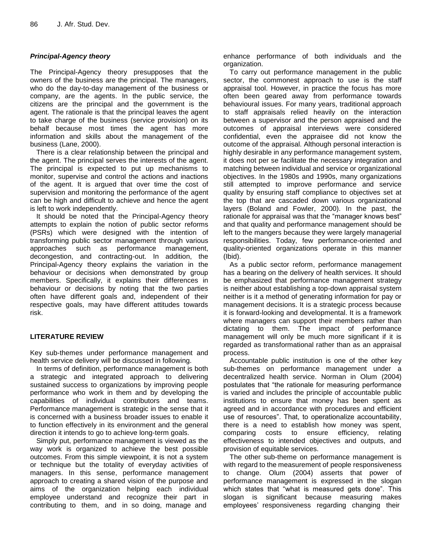# *Principal-Agency theory*

The Principal-Agency theory presupposes that the owners of the business are the principal. The managers, who do the day-to-day management of the business or company, are the agents. In the public service, the citizens are the principal and the government is the agent. The rationale is that the principal leaves the agent to take charge of the business (service provision) on its behalf because most times the agent has more information and skills about the management of the business (Lane, 2000).

There is a clear relationship between the principal and the agent. The principal serves the interests of the agent. The principal is expected to put up mechanisms to monitor, supervise and control the actions and inactions of the agent. It is argued that over time the cost of supervision and monitoring the performance of the agent can be high and difficult to achieve and hence the agent is left to work independently.

It should be noted that the Principal-Agency theory attempts to explain the notion of public sector reforms (PSRs) which were designed with the intention of transforming public sector management through various approaches such as performance management, decongestion, and contracting-out. In addition, the Principal-Agency theory explains the variation in the behaviour or decisions when demonstrated by group members. Specifically, it explains their differences in behaviour or decisions by noting that the two parties often have different goals and, independent of their respective goals, may have different attitudes towards risk.

# **LITERATURE REVIEW**

Key sub-themes under performance management and health service delivery will be discussed in following.

In terms of definition, performance management is both a strategic and integrated approach to delivering sustained success to organizations by improving people performance who work in them and by developing the capabilities of individual contributors and teams. Performance management is strategic in the sense that it is concerned with a business broader issues to enable it to function effectively in its environment and the general direction it intends to go to achieve long-term goals.

Simply put, performance management is viewed as the way work is organized to achieve the best possible outcomes. From this simple viewpoint, it is not a system or technique but the totality of everyday activities of managers. In this sense, performance management approach to creating a shared vision of the purpose and aims of the organization helping each individual employee understand and recognize their part in contributing to them, and in so doing, manage and

enhance performance of both individuals and the organization.

To carry out performance management in the public sector, the commonest approach to use is the staff appraisal tool. However, in practice the focus has more often been geared away from performance towards behavioural issues. For many years, traditional approach to staff appraisals relied heavily on the interaction between a supervisor and the person appraised and the outcomes of appraisal interviews were considered confidential, even the appraisee did not know the outcome of the appraisal. Although personal interaction is highly desirable in any performance management system, it does not per se facilitate the necessary integration and matching between individual and service or organizational objectives. In the 1980s and 1990s, many organizations still attempted to improve performance and service quality by ensuring staff compliance to objectives set at the top that are cascaded down various organizational layers (Boland and Fowler, 2000). In the past, the rationale for appraisal was that the "manager knows best" and that quality and performance management should be left to the mangers because they were largely managerial responsibilities. Today, few performance-oriented and quality-oriented organizations operate in this manner (Ibid).

As a public sector reform, performance management has a bearing on the delivery of health services. It should be emphasized that performance management strategy is neither about establishing a top-down appraisal system neither is it a method of generating information for pay or management decisions. It is a strategic process because it is forward-looking and developmental. It is a framework where managers can support their members rather than dictating to them. The impact of performance management will only be much more significant if it is regarded as transformational rather than as an appraisal process.

Accountable public institution is one of the other key sub-themes on performance management under a decentralized health service. Norman in Olum (2004) postulates that "the rationale for measuring performance is varied and includes the principle of accountable public institutions to ensure that money has been spent as agreed and in accordance with procedures and efficient use of resources". That, to operationalize accountability, there is a need to establish how money was spent, comparing costs to ensure efficiency, relating effectiveness to intended objectives and outputs, and provision of equitable services.

The other sub-theme on performance management is with regard to the measurement of people responsiveness to change. Olum (2004) asserts that power of performance management is expressed in the slogan which states that "what is measured gets done". This slogan is significant because measuring makes employees' responsiveness regarding changing their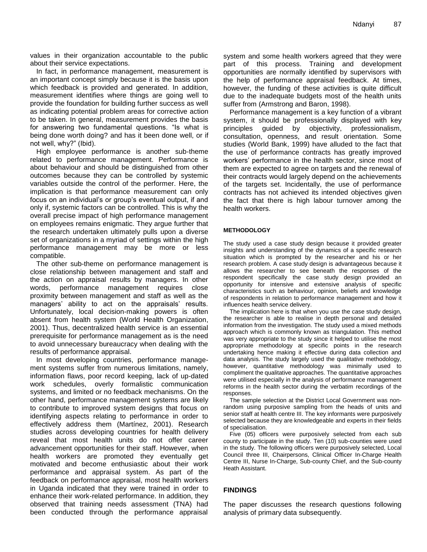values in their organization accountable to the public about their service expectations.

In fact, in performance management, measurement is an important concept simply because it is the basis upon which feedback is provided and generated. In addition, measurement identifies where things are going well to provide the foundation for building further success as well as indicating potential problem areas for corrective action to be taken. In general, measurement provides the basis for answering two fundamental questions. "Is what is being done worth doing? and has it been done well, or if not well, why?" (Ibid).

High employee performance is another sub-theme related to performance management. Performance is about behaviour and should be distinguished from other outcomes because they can be controlled by systemic variables outside the control of the performer. Here, the implication is that performance measurement can only focus on an individual's or group's eventual output, if and only if, systemic factors can be controlled. This is why the overall precise impact of high performance management on employees remains enigmatic. They argue further that the research undertaken ultimately pulls upon a diverse set of organizations in a myriad of settings within the high performance management may be more or less compatible.

The other sub-theme on performance management is close relationship between management and staff and the action on appraisal results by managers. In other words, performance management requires close proximity between management and staff as well as the managers' ability to act on the appraisals' results. Unfortunately, local decision-making powers is often absent from health system (World Health Organization, 2001). Thus, decentralized health service is an essential prerequisite for performance management as is the need to avoid unnecessary bureaucracy when dealing with the results of performance appraisal.

In most developing countries, performance management systems suffer from numerous limitations, namely, information flaws, poor record keeping, lack of up-dated work schedules, overly formalistic communication systems, and limited or no feedback mechanisms. On the other hand, performance management systems are likely to contribute to improved system designs that focus on identifying aspects relating to performance in order to effectively address them (Martínez, 2001). Research studies across developing countries for health delivery reveal that most health units do not offer career advancement opportunities for their staff. However, when health workers are promoted they eventually get motivated and become enthusiastic about their work performance and appraisal system. As part of the feedback on performance appraisal, most health workers in Uganda indicated that they were trained in order to enhance their work-related performance. In addition, they observed that training needs assessment (TNA) had been conducted through the performance appraisal system and some health workers agreed that they were part of this process. Training and development opportunities are normally identified by supervisors with the help of performance appraisal feedback. At times, however, the funding of these activities is quite difficult due to the inadequate budgets most of the health units suffer from (Armstrong and Baron, 1998).

Performance management is a key function of a vibrant system, it should be professionally displayed with key principles guided by objectivity, professionalism, consultation, openness, and result orientation. Some studies (World Bank, 1999) have alluded to the fact that the use of performance contracts has greatly improved workers' performance in the health sector, since most of them are expected to agree on targets and the renewal of their contracts would largely depend on the achievements of the targets set. Incidentally, the use of performance contracts has not achieved its intended objectives given the fact that there is high labour turnover among the health workers.

#### **METHODOLOGY**

The study used a case study design because it provided greater insights and understanding of the dynamics of a specific research situation which is prompted by the researcher and his or her research problem. A case study design is advantageous because it allows the researcher to see beneath the responses of the respondent specifically the case study design provided an opportunity for intensive and extensive analysis of specific characteristics such as behaviour, opinion, beliefs and knowledge of respondents in relation to performance management and how it influences health service delivery.

The implication here is that when you use the case study design, the researcher is able to realise in depth personal and detailed information from the investigation. The study used a mixed methods approach which is commonly known as triangulation. This method was very appropriate to the study since it helped to utilise the most appropriate methodology at specific points in the research undertaking hence making it effective during data collection and data analysis. The study largely used the qualitative methodology, however, quantitative methodology was minimally used to compliment the qualitative approaches. The quantitative approaches were utilised especially in the analysis of performance management reforms in the health sector during the verbatim recordings of the responses.

The sample selection at the District Local Government was nonrandom using purposive sampling from the heads of units and senior staff at health centre III. The key informants were purposively selected because they are knowledgeable and experts in their fields of specialisation.

Five (05) officers were purposively selected from each sub county to participate in the study. Ten (10) sub-counties were used in the study. The following officers were purposively selected, Local Council three III, Chairpersons, Clinical Officer In-Charge Health Centre III, Nurse In-Charge, Sub-county Chief, and the Sub-county Heath Assistant.

### **FINDINGS**

The paper discusses the research questions following analysis of primary data subsequently.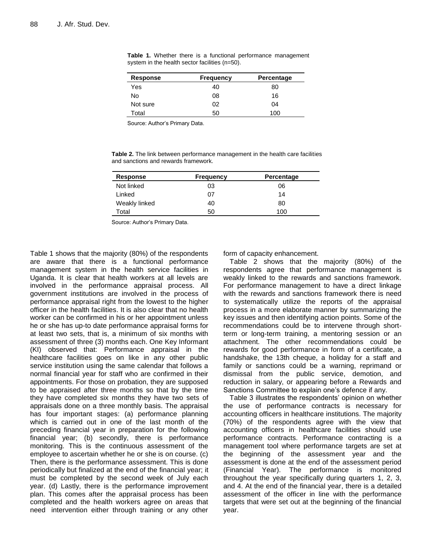| <b>Response</b> | <b>Frequency</b> | Percentage |
|-----------------|------------------|------------|
| Yes             | 40               | 80         |
| No              | 08               | 16         |
| Not sure        | 02               | 04         |
| Total           | 50               | 100        |

**Table 1.** Whether there is a functional performance management system in the health sector facilities (n=50).

Source: Author's Primary Data.

**Table 2.** The link between performance management in the health care facilities and sanctions and rewards framework.

| <b>Response</b> | <b>Frequency</b> | Percentage |
|-----------------|------------------|------------|
| Not linked      | 03               | 06         |
| Linked          | 07               | 14         |
| Weakly linked   | 40               | 80         |
| Total           | 50               | 100        |

Source: Author's Primary Data.

Table 1 shows that the majority (80%) of the respondents are aware that there is a functional performance management system in the health service facilities in Uganda. It is clear that health workers at all levels are involved in the performance appraisal process. All government institutions are involved in the process of performance appraisal right from the lowest to the higher officer in the health facilities. It is also clear that no health worker can be confirmed in his or her appointment unless he or she has up-to date performance appraisal forms for at least two sets, that is, a minimum of six months with assessment of three (3) months each. One Key Informant (KI) observed that: Performance appraisal in the healthcare facilities goes on like in any other public service institution using the same calendar that follows a normal financial year for staff who are confirmed in their appointments. For those on probation, they are supposed to be appraised after three months so that by the time they have completed six months they have two sets of appraisals done on a three monthly basis. The appraisal has four important stages: (a) performance planning which is carried out in one of the last month of the preceding financial year in preparation for the following financial year; (b) secondly, there is performance monitoring. This is the continuous assessment of the employee to ascertain whether he or she is on course. (c) Then, there is the performance assessment. This is done periodically but finalized at the end of the financial year; it must be completed by the second week of July each year. (d) Lastly, there is the performance improvement plan. This comes after the appraisal process has been completed and the health workers agree on areas that need intervention either through training or any other

form of capacity enhancement.

Table 2 shows that the majority (80%) of the respondents agree that performance management is weakly linked to the rewards and sanctions framework. For performance management to have a direct linkage with the rewards and sanctions framework there is need to systematically utilize the reports of the appraisal process in a more elaborate manner by summarizing the key issues and then identifying action points. Some of the recommendations could be to intervene through shortterm or long-term training, a mentoring session or an attachment. The other recommendations could be rewards for good performance in form of a certificate, a handshake, the 13th cheque, a holiday for a staff and family or sanctions could be a warning, reprimand or dismissal from the public service, demotion, and reduction in salary, or appearing before a Rewards and Sanctions Committee to explain one's defence if any.

Table 3 illustrates the respondents' opinion on whether the use of performance contracts is necessary for accounting officers in healthcare institutions. The majority (70%) of the respondents agree with the view that accounting officers in healthcare facilities should use performance contracts. Performance contracting is a management tool where performance targets are set at the beginning of the assessment year and the assessment is done at the end of the assessment period (Financial Year). The performance is monitored throughout the year specifically during quarters 1, 2, 3, and 4. At the end of the financial year, there is a detailed assessment of the officer in line with the performance targets that were set out at the beginning of the financial year.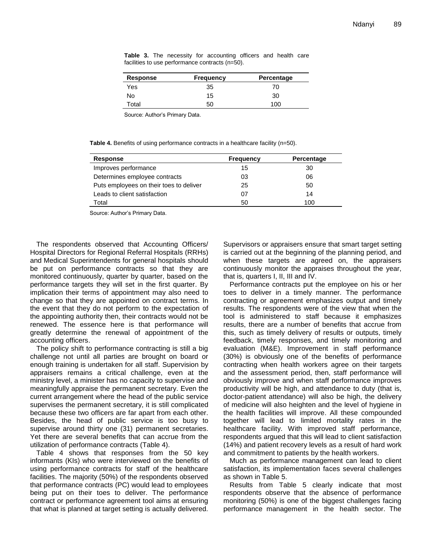**Table 3.** The necessity for accounting officers and health care facilities to use performance contracts (n=50).

| Response | <b>Frequency</b> | Percentage |
|----------|------------------|------------|
| Yes      | 35               | 70         |
| No.      | 15               | 30         |
| Total    | 50               | 100        |

Source: Author's Primary Data.

**Table 4.** Benefits of using performance contracts in a healthcare facility (n=50).

| <b>Response</b>                         | <b>Frequency</b> | Percentage |
|-----------------------------------------|------------------|------------|
| Improves performance                    | 15               | 30         |
| Determines employee contracts           | 03               | 06         |
| Puts employees on their toes to deliver | 25               | 50         |
| Leads to client satisfaction            | 07               | 14         |
| Total                                   | 50               | 100        |

Source: Author's Primary Data.

The respondents observed that Accounting Officers/ Hospital Directors for Regional Referral Hospitals (RRHs) and Medical Superintendents for general hospitals should be put on performance contracts so that they are monitored continuously, quarter by quarter, based on the performance targets they will set in the first quarter. By implication their terms of appointment may also need to change so that they are appointed on contract terms. In the event that they do not perform to the expectation of the appointing authority then, their contracts would not be renewed. The essence here is that performance will greatly determine the renewal of appointment of the accounting officers.

The policy shift to performance contracting is still a big challenge not until all parties are brought on board or enough training is undertaken for all staff. Supervision by appraisers remains a critical challenge, even at the ministry level, a minister has no capacity to supervise and meaningfully appraise the permanent secretary. Even the current arrangement where the head of the public service supervises the permanent secretary, it is still complicated because these two officers are far apart from each other. Besides, the head of public service is too busy to supervise around thirty one (31) permanent secretaries. Yet there are several benefits that can accrue from the utilization of performance contracts (Table 4).

Table 4 shows that responses from the 50 key informants (KIs) who were interviewed on the benefits of using performance contracts for staff of the healthcare facilities. The majority (50%) of the respondents observed that performance contracts (PC) would lead to employees being put on their toes to deliver. The performance contract or performance agreement tool aims at ensuring that what is planned at target setting is actually delivered. Supervisors or appraisers ensure that smart target setting is carried out at the beginning of the planning period, and when these targets are agreed on, the appraisers continuously monitor the appraises throughout the year, that is, quarters I, II, III and IV.

Performance contracts put the employee on his or her toes to deliver in a timely manner. The performance contracting or agreement emphasizes output and timely results. The respondents were of the view that when the tool is administered to staff because it emphasizes results, there are a number of benefits that accrue from this, such as timely delivery of results or outputs, timely feedback, timely responses, and timely monitoring and evaluation (M&E). Improvement in staff performance (30%) is obviously one of the benefits of performance contracting when health workers agree on their targets and the assessment period, then, staff performance will obviously improve and when staff performance improves productivity will be high, and attendance to duty (that is, doctor-patient attendance) will also be high, the delivery of medicine will also heighten and the level of hygiene in the health facilities will improve. All these compounded together will lead to limited mortality rates in the healthcare facility. With improved staff performance, respondents argued that this will lead to client satisfaction (14%) and patient recovery levels as a result of hard work and commitment to patients by the health workers.

Much as performance management can lead to client satisfaction, its implementation faces several challenges as shown in Table 5.

Results from Table 5 clearly indicate that most respondents observe that the absence of performance monitoring (50%) is one of the biggest challenges facing performance management in the health sector. The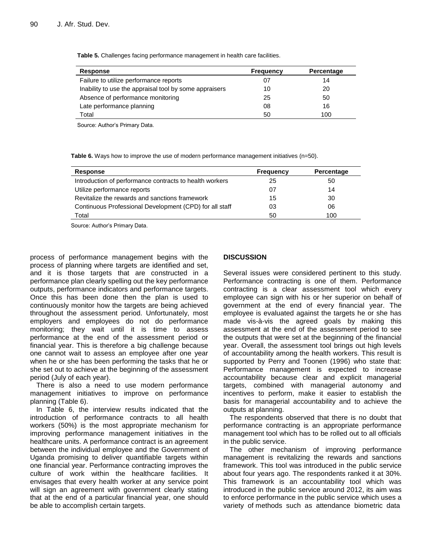| <b>Response</b>                                        | <b>Frequency</b> | Percentage |
|--------------------------------------------------------|------------------|------------|
| Failure to utilize performance reports                 |                  | 14         |
| Inability to use the appraisal tool by some appraisers | 10               | 20         |
| Absence of performance monitoring                      | 25               | 50         |
| Late performance planning                              | 08               | 16         |
| Total                                                  | 50               | 100        |

**Table 5.** Challenges facing performance management in health care facilities.

Source: Author's Primary Data.

**Table 6.** Ways how to improve the use of modern performance management initiatives (n=50).

| Response                                                | <b>Frequency</b> | Percentage |
|---------------------------------------------------------|------------------|------------|
| Introduction of performance contracts to health workers | 25               | 50         |
| Utilize performance reports                             | 07               | 14         |
| Revitalize the rewards and sanctions framework          | 15               | 30         |
| Continuous Professional Development (CPD) for all staff | 03               | 06         |
| Total                                                   | 50               | 100        |

Source: Author's Primary Data.

process of performance management begins with the process of planning where targets are identified and set, and it is those targets that are constructed in a performance plan clearly spelling out the key performance outputs, performance indicators and performance targets. Once this has been done then the plan is used to continuously monitor how the targets are being achieved throughout the assessment period. Unfortunately, most employers and employees do not do performance monitoring; they wait until it is time to assess performance at the end of the assessment period or financial year. This is therefore a big challenge because one cannot wait to assess an employee after one year when he or she has been performing the tasks that he or she set out to achieve at the beginning of the assessment period (July of each year).

There is also a need to use modern performance management initiatives to improve on performance planning (Table 6).

In Table 6, the interview results indicated that the introduction of performance contracts to all health workers (50%) is the most appropriate mechanism for improving performance management initiatives in the healthcare units. A performance contract is an agreement between the individual employee and the Government of Uganda promising to deliver quantifiable targets within one financial year. Performance contracting improves the culture of work within the healthcare facilities. It envisages that every health worker at any service point will sign an agreement with government clearly stating that at the end of a particular financial year, one should be able to accomplish certain targets.

# **DISCUSSION**

Several issues were considered pertinent to this study. Performance contracting is one of them. Performance contracting is a clear assessment tool which every employee can sign with his or her superior on behalf of government at the end of every financial year. The employee is evaluated against the targets he or she has made vis-à-vis the agreed goals by making this assessment at the end of the assessment period to see the outputs that were set at the beginning of the financial year. Overall, the assessment tool brings out high levels of accountability among the health workers. This result is supported by Perry and Toonen (1996) who state that: Performance management is expected to increase accountability because clear and explicit managerial targets, combined with managerial autonomy and incentives to perform, make it easier to establish the basis for managerial accountability and to achieve the outputs at planning.

The respondents observed that there is no doubt that performance contracting is an appropriate performance management tool which has to be rolled out to all officials in the public service.

The other mechanism of improving performance management is revitalizing the rewards and sanctions framework. This tool was introduced in the public service about four years ago. The respondents ranked it at 30%. This framework is an accountability tool which was introduced in the public service around 2012, its aim was to enforce performance in the public service which uses a variety of methods such as attendance biometric data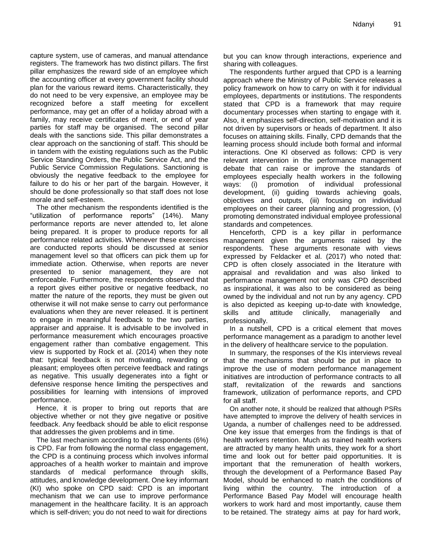capture system, use of cameras, and manual attendance registers. The framework has two distinct pillars. The first pillar emphasizes the reward side of an employee which the accounting officer at every government facility should plan for the various reward items. Characteristically, they do not need to be very expensive, an employee may be recognized before a staff meeting for excellent performance, may get an offer of a holiday abroad with a family, may receive certificates of merit, or end of year parties for staff may be organised. The second pillar deals with the sanctions side. This pillar demonstrates a clear approach on the sanctioning of staff. This should be in tandem with the existing regulations such as the Public Service Standing Orders, the Public Service Act, and the Public Service Commission Regulations. Sanctioning is obviously the negative feedback to the employee for failure to do his or her part of the bargain. However, it should be done professionally so that staff does not lose morale and self-esteem.

The other mechanism the respondents identified is the "utilization of performance reports" (14%). Many performance reports are never attended to, let alone being prepared. It is proper to produce reports for all performance related activities. Whenever these exercises are conducted reports should be discussed at senior management level so that officers can pick them up for immediate action. Otherwise, when reports are never presented to senior management, they are not enforceable. Furthermore, the respondents observed that a report gives either positive or negative feedback, no matter the nature of the reports, they must be given out otherwise it will not make sense to carry out performance evaluations when they are never released. It is pertinent to engage in meaningful feedback to the two parties, appraiser and appraise. It is advisable to be involved in performance measurement which encourages proactive engagement rather than combative engagement. This view is supported by Rock et al. (2014) when they note that: typical feedback is not motivating, rewarding or pleasant; employees often perceive feedback and ratings as negative. This usually degenerates into a fight or defensive response hence limiting the perspectives and possibilities for learning with intensions of improved performance.

Hence, it is proper to bring out reports that are objective whether or not they give negative or positive feedback. Any feedback should be able to elicit response that addresses the given problems and in time.

The last mechanism according to the respondents (6%) is CPD. Far from following the normal class engagement, the CPD is a continuing process which involves informal approaches of a health worker to maintain and improve standards of medical performance through skills, attitudes, and knowledge development. One key informant (KI) who spoke on CPD said: CPD is an important mechanism that we can use to improve performance management in the healthcare facility. It is an approach which is self-driven; you do not need to wait for directions

but you can know through interactions, experience and sharing with colleagues.

The respondents further argued that CPD is a learning approach where the Ministry of Public Service releases a policy framework on how to carry on with it for individual employees, departments or institutions. The respondents stated that CPD is a framework that may require documentary processes when starting to engage with it. Also, it emphasizes self-direction, self-motivation and it is not driven by supervisors or heads of department. It also focuses on attaining skills. Finally, CPD demands that the learning process should include both formal and informal interactions. One Kl observed as follows: CPD is very relevant intervention in the performance management debate that can raise or improve the standards of employees especially health workers in the following ways: (i) promotion of individual professional development, (ii) guiding towards achieving goals, objectives and outputs, (iii) focusing on individual employees on their career planning and progression, (v) promoting demonstrated individual employee professional standards and competences.

Henceforth, CPD is a key pillar in performance management given the arguments raised by the respondents. These arguments resonate with views expressed by Feldacker et al. (2017) who noted that: CPD is often closely associated in the literature with appraisal and revalidation and was also linked to performance management not only was CPD described as inspirational, it was also to be considered as being owned by the individual and not run by any agency. CPD is also depicted as keeping up-to-date with knowledge, skills and attitude clinically, managerially and professionally.

In a nutshell, CPD is a critical element that moves performance management as a paradigm to another level in the delivery of healthcare service to the population.

In summary, the responses of the KIs interviews reveal that the mechanisms that should be put in place to improve the use of modern performance management initiatives are introduction of performance contracts to all staff, revitalization of the rewards and sanctions framework, utilization of performance reports, and CPD for all staff.

On another note, it should be realized that although PSRs have attempted to improve the delivery of health services in Uganda, a number of challenges need to be addressed. One key issue that emerges from the findings is that of health workers retention. Much as trained health workers are attracted by many health units, they work for a short time and look out for better paid opportunities. It is important that the remuneration of health workers, through the development of a Performance Based Pay Model, should be enhanced to match the conditions of living within the country. The introduction of a Performance Based Pay Model will encourage health workers to work hard and most importantly, cause them to be retained. The strategy aims at pay for hard work,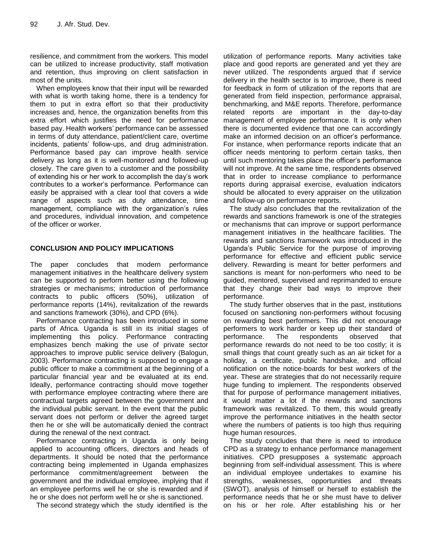resilience, and commitment from the workers. This model can be utilized to increase productivity, staff motivation and retention, thus improving on client satisfaction in most of the units.

When employees know that their input will be rewarded with what is worth taking home, there is a tendency for them to put in extra effort so that their productivity increases and, hence, the organization benefits from this extra effort which justifies the need for performance based pay. Health workers' performance can be assessed in terms of duty attendance, patient/client care, overtime incidents, patients' follow-ups, and drug administration. Performance based pay can improve health service delivery as long as it is well-monitored and followed-up closely. The care given to a customer and the possibility of extending his or her work to accomplish the day's work contributes to a worker's performance. Performance can easily be appraised with a clear tool that covers a wide range of aspects such as duty attendance, time management, compliance with the organization's rules and procedures, individual innovation, and competence of the officer or worker.

# **CONCLUSION AND POLICY IMPLICATIONS**

The paper concludes that modern performance management initiatives in the healthcare delivery system can be supported to perform better using the following strategies or mechanisms; introduction of performance contracts to public officers (50%), utilization of performance reports (14%), revitalization of the rewards and sanctions framework (30%), and CPD (6%).

Performance contracting has been introduced in some parts of Africa. Uganda is still in its initial stages of implementing this policy. Performance contracting emphasizes bench making the use of private sector approaches to improve public service delivery (Balogun, 2003). Performance contracting is supposed to engage a public officer to make a commitment at the beginning of a particular financial year and be evaluated at its end. Ideally, performance contracting should move together with performance employee contracting where there are contractual targets agreed between the government and the individual public servant. In the event that the public servant does not perform or deliver the agreed target then he or she will be automatically denied the contract during the renewal of the next contract.

Performance contracting in Uganda is only being applied to accounting officers, directors and heads of departments. It should be noted that the performance contracting being implemented in Uganda emphasizes performance commitment/agreement between the government and the individual employee, implying that if an employee performs well he or she is rewarded and if he or she does not perform well he or she is sanctioned.

The second strategy which the study identified is the

utilization of performance reports. Many activities take place and good reports are generated and yet they are never utilized. The respondents argued that if service delivery in the health sector is to improve, there is need for feedback in form of utilization of the reports that are generated from field inspection, performance appraisal, benchmarking, and M&E reports. Therefore, performance related reports are important in the day-to-day management of employee performance. It is only when there is documented evidence that one can accordingly make an informed decision on an officer's performance. For instance, when performance reports indicate that an officer needs mentoring to perform certain tasks, then until such mentoring takes place the officer's performance will not improve. At the same time, respondents observed that in order to increase compliance to performance reports during appraisal exercise, evaluation indicators should be allocated to every appraiser on the utilization and follow-up on performance reports.

The study also concludes that the revitalization of the rewards and sanctions framework is one of the strategies or mechanisms that can improve or support performance management initiatives in the healthcare facilities. The rewards and sanctions framework was introduced in the Uganda's Public Service for the purpose of improving performance for effective and efficient public service delivery. Rewarding is meant for better performers and sanctions is meant for non-performers who need to be guided, mentored, supervised and reprimanded to ensure that they change their bad ways to improve their performance.

The study further observes that in the past, institutions focused on sanctioning non-performers without focusing on rewarding best performers. This did not encourage performers to work harder or keep up their standard of performance. The respondents observed that performance rewards do not need to be too costly; it is small things that count greatly such as an air ticket for a holiday, a certificate, public handshake, and official notification on the notice-boards for best workers of the year. These are strategies that do not necessarily require huge funding to implement. The respondents observed that for purpose of performance management initiatives, it would matter a lot if the rewards and sanctions framework was revitalized. To them, this would greatly improve the performance initiatives in the health sector where the numbers of patients is too high thus requiring huge human resources.

The study concludes that there is need to introduce CPD as a strategy to enhance performance management initiatives. CPD presupposes a systematic approach beginning from self-individual assessment. This is where an individual employee undertakes to examine his strengths, weaknesses, opportunities and threats (SWOT), analysis of himself or herself to establish the performance needs that he or she must have to deliver on his or her role. After establishing his or her